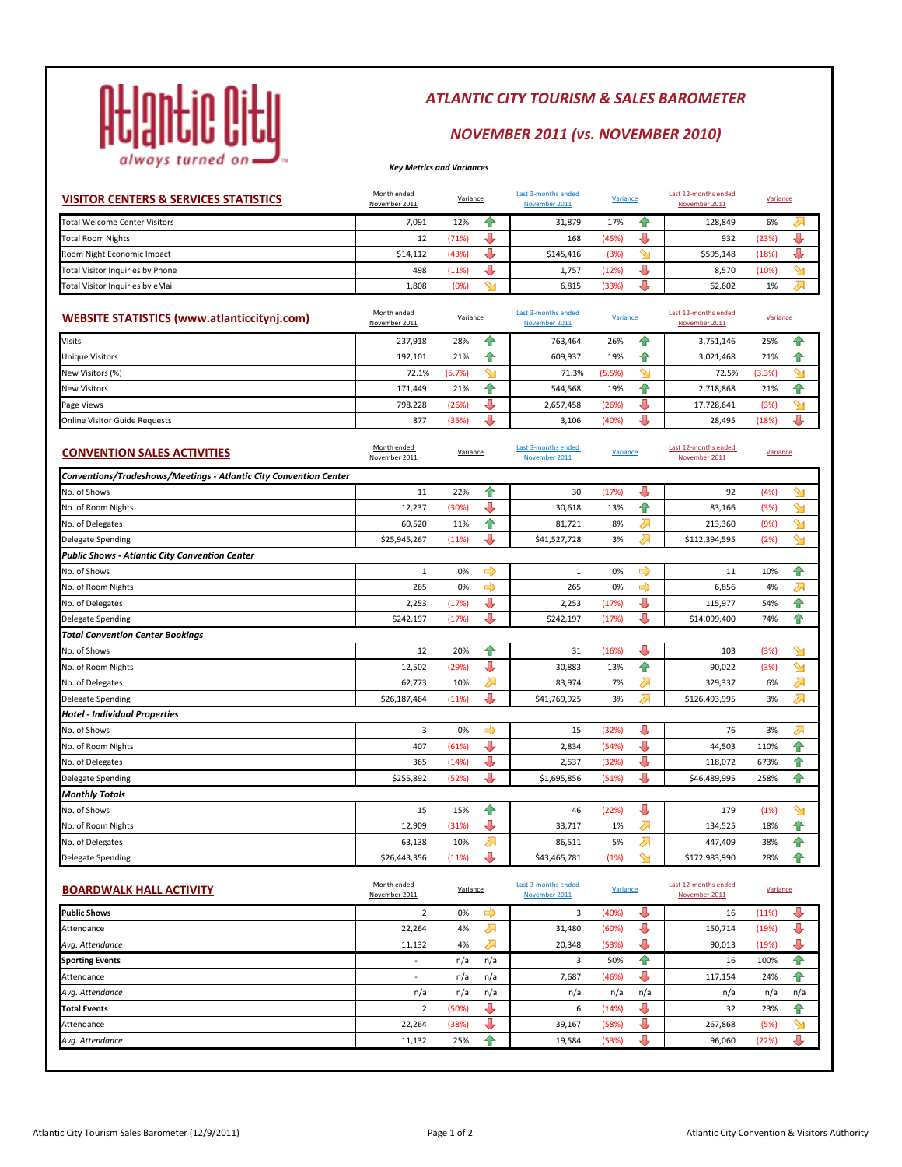

# *ATLANTIC CITY TOURISM & SALES BAROMETER*

# *NOVEMBER 2011 (vs. NOVEMBER 2010)*

### *Key Metrics and Variances*

| <b>VISITOR CENTERS &amp; SERVICES STATISTICS</b>                  | Month ended<br>November 2011 | Variance |   | Last 3-months ended<br>November 2011 | Variance |    | Last 12-months ended<br>November 2011 | Variance |   |
|-------------------------------------------------------------------|------------------------------|----------|---|--------------------------------------|----------|----|---------------------------------------|----------|---|
| Total Welcome Center Visitors                                     | 7,091                        | 12%      | ♠ | 31,879                               | 17%      | ♠  | 128,849                               | 6%       | ↗ |
| <b>Total Room Nights</b>                                          | 12                           | (71%)    | ⊕ | 168                                  | (45%)    | J  | 932                                   | (23%)    | J |
| Room Night Economic Impact                                        | \$14,112                     | (43%)    | J | \$145,416                            | (3%)     | ℠  | \$595,148                             | (18%)    | J |
| <b>Total Visitor Inquiries by Phone</b>                           | 498                          | (11%)    | J | 1,757                                | (12%)    | J  | 8,570                                 | (10%)    | ℠ |
| Total Visitor Inquiries by eMail                                  | 1,808                        | (0%)     | ஊ | 6,815                                | (33%)    | J  | 62,602                                | 1%       | ⇗ |
| <b>WEBSITE STATISTICS (www.atlanticcitynj.com)</b>                | Month ended<br>November 2011 | Variance |   | Last 3-months ended<br>November 2011 | Variance |    | Last 12-months ended<br>November 2011 | Variance |   |
| Visits                                                            | 237,918                      | 28%      | ⇮ | 763,464                              | 26%      | ⇑  | 3,751,146                             | 25%      | ⇮ |
| <b>Jnique Visitors</b>                                            | 192,101                      | 21%      | ⇑ | 609,937                              | 19%      | 슈  | 3,021,468                             | 21%      | ♠ |
| <b>New Visitors (%)</b>                                           | 72.1%                        | (5.7%)   | ℠ | 71.3%                                | (5.5%)   | ℠  | 72.5%                                 | (3.3%)   | ℠ |
| <b>New Visitors</b>                                               | 171,449                      | 21%      | ♠ | 544,568                              | 19%      | ♠  | 2,718,868                             | 21%      | ♠ |
| Page Views                                                        | 798,228                      | (26%)    | J | 2,657,458                            | (26%)    | J  | 17,728,641                            | (3%)     | ℠ |
| Online Visitor Guide Requests                                     | 877                          | (35%)    | J | 3,106                                | (40%)    | J  | 28,495                                | (18%)    | J |
| <b>CONVENTION SALES ACTIVITIES</b>                                | Month ended<br>November 2011 | Variance |   | Last 3-months ended<br>November 2011 | Variance |    | Last 12-months ended<br>November 2011 | Variance |   |
| Conventions/Tradeshows/Meetings - Atlantic City Convention Center |                              |          |   |                                      |          |    |                                       |          |   |
| No. of Shows                                                      | 11                           | 22%      | ⇑ | 30                                   | (17%)    | Д  | 92                                    | (4%      | ↬ |
| No. of Room Nights                                                | 12,237                       | (30%)    | ⊕ | 30,618                               | 13%      | ⇑  | 83,166                                | (3%)     | ஊ |
| No. of Delegates                                                  | 60,520                       | 11%      | ♠ | 81,721                               | 8%       | ⇗  | 213,360                               | (9%)     | ஊ |
| Delegate Spending                                                 | \$25,945,267                 | (11%)    | J | \$41,527,728                         | 3%       | ⊼  | \$112,394,595                         | (2%)     | ↬ |
| Public Shows - Atlantic City Convention Center                    |                              |          |   |                                      |          |    |                                       |          |   |
| No. of Shows                                                      | 1                            | 0%       | ⇨ | 1                                    | 0%       | ⇨  | 11                                    | 10%      | ♠ |
| No. of Room Nights                                                | 265                          | 0%       | ➡ | 265                                  | 0%       | ⇨  | 6,856                                 | 4%       | ⇗ |
| No. of Delegates                                                  | 2,253                        | (17%)    | J | 2,253                                | (17%)    | J  | 115,977                               | 54%      | 슈 |
| Delegate Spending                                                 | \$242,197                    | (17%)    | J | \$242,197                            | (17%)    | J  | \$14,099,400                          | 74%      | ♠ |
| <b>Total Convention Center Bookings</b>                           |                              |          |   |                                      |          |    |                                       |          |   |
| No. of Shows                                                      | 12                           | 20%      | ⇑ | 31                                   | (16%)    | J  | 103                                   | (3%)     | ஊ |
| No. of Room Nights                                                | 12,502                       | (29%)    | € | 30,883                               | 13%      | 슈  | 90,022                                | (3%)     | ஊ |
| No. of Delegates                                                  | 62,773                       | 10%      | ↗ | 83,974                               | 7%       | ⇗  | 329,337                               | 6%       | ⇗ |
| Delegate Spending                                                 | \$26,187,464                 | (11%)    | J | \$41,769,925                         | 3%       | 24 | \$126,493,995                         | 3%       | ⇗ |
| Hotel - Individual Properties                                     |                              |          |   |                                      |          |    |                                       |          |   |
| No. of Shows                                                      | 3                            | 0%       | ⇨ | 15                                   | (32%)    |    | 76                                    | 3%       | ራ |
| <b>No. of Room Nights</b>                                         | 407                          | (61%)    | J | 2,834                                | (54%)    | J  | 44,503                                | 110%     | ⇑ |
| No. of Delegates                                                  | 365                          | (14%)    | J | 2,537                                | (32%)    | Д  | 118,072                               | 673%     | ⇑ |
| Delegate Spending                                                 | \$255,892                    | (52%)    | л | \$1,695,856                          | (51%)    | л  | \$46,489,995                          | 258%     | 슈 |
| <b>Monthly Totals</b>                                             |                              |          |   |                                      |          |    |                                       |          |   |
| No. of Shows                                                      | 15                           | 15%      | ⇮ | 46                                   | (22%)    |    | 179                                   | (1%)     | ℠ |
| No. of Room Nights                                                | 12,909                       | (31%)    | ⊕ | 33,717                               | 1%       | ⇗  | 134,525                               | 18%      | ♠ |
|                                                                   |                              |          | ⇗ | 86,511                               | 5%       | ⇗  | 447,409                               | 38%      | 슈 |
| No. of Delegates                                                  | 63,138                       | 10%      |   |                                      |          |    |                                       |          |   |

|        |       |     |        | Variance |     | November 2011 | Variance |     |
|--------|-------|-----|--------|----------|-----|---------------|----------|-----|
|        | 0%    | =0  |        | (40%)    |     | 16            | (11%)    | ₩   |
| 22,264 | 4%    |     | 31,480 | (60%)    |     | 150,714       | (19%)    |     |
| 11,132 | 4%    |     | 20,348 | (53%)    |     | 90,013        | (19%)    | JL  |
|        | n/a   | n/a |        | 50%      |     | 16            | 100%     | Æ   |
|        | n/a   | n/a | 7,687  | (46%)    |     | 117,154       | 24%      | Ħ   |
| n/a    | n/a   | n/a | n/a    | n/a      | n/a | n/a           | n/a      | n/a |
|        | (50%) |     | 6      | (14%)    |     | 32            | 23%      | 10  |
| 22,264 | (38%) |     | 39,167 | (58%)    |     | 267,868       | (5%)     | ∾   |
| 11,132 | 25%   | - 7 | 19,584 | (53%)    |     | 96,060        | (22%)    |     |
|        |       |     |        |          |     |               |          |     |